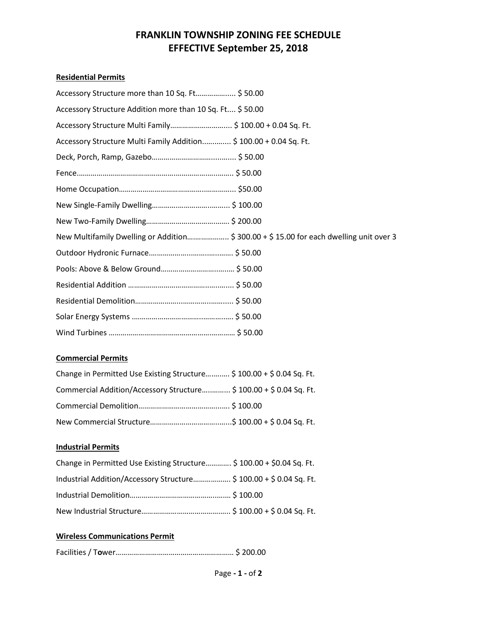# **FRANKLIN TOWNSHIP ZONING FEE SCHEDULE EFFECTIVE September 25, 2018**

### **Residential Permits**

| Accessory Structure more than 10 Sq. Ft \$50.00                                         |
|-----------------------------------------------------------------------------------------|
| Accessory Structure Addition more than 10 Sq. Ft \$50.00                                |
|                                                                                         |
| Accessory Structure Multi Family Addition \$ 100.00 + 0.04 Sq. Ft.                      |
|                                                                                         |
|                                                                                         |
|                                                                                         |
|                                                                                         |
|                                                                                         |
| New Multifamily Dwelling or Addition \$ 300.00 + \$ 15.00 for each dwelling unit over 3 |
|                                                                                         |
|                                                                                         |
|                                                                                         |
|                                                                                         |
|                                                                                         |
|                                                                                         |

### **Commercial Permits**

| Change in Permitted Use Existing Structure \$ 100.00 + \$ 0.04 Sq. Ft. |  |
|------------------------------------------------------------------------|--|
| Commercial Addition/Accessory Structure \$ 100.00 + \$ 0.04 Sq. Ft.    |  |
|                                                                        |  |
|                                                                        |  |

# **Industrial Permits**

| Change in Permitted Use Existing Structure \$ 100.00 + \$0.04 Sq. Ft. |  |
|-----------------------------------------------------------------------|--|
| Industrial Addition/Accessory Structure \$100.00 + \$0.04 Sq. Ft.     |  |
|                                                                       |  |
|                                                                       |  |

# **Wireless Communications Permit**

|--|--|--|